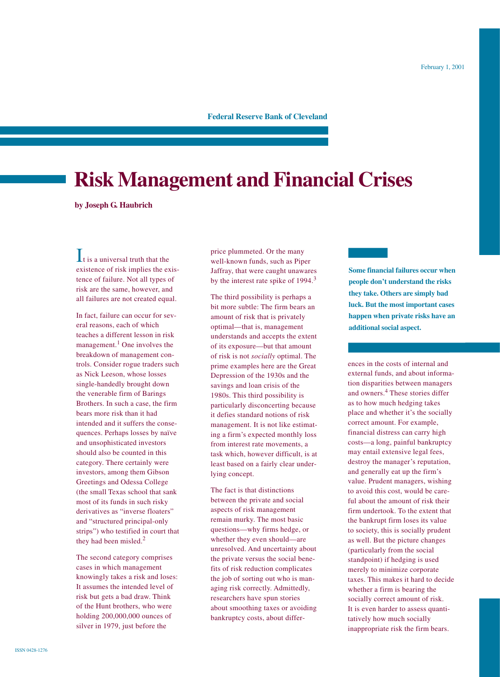## **Federal Reserve Bank of Cleveland**

# **Risk Management and Financial Crises**

**by Joseph G. Haubrich**

 $\mathbf{I}$ t is a universal truth that the existence of risk implies the existence of failure. Not all types of risk are the same, however, and all failures are not created equal.

In fact, failure can occur for several reasons, each of which teaches a different lesson in risk management. $<sup>1</sup>$  One involves the</sup> breakdown of management controls. Consider rogue traders such as Nick Leeson, whose losses single-handedly brought down the venerable firm of Barings Brothers. In such a case, the firm bears more risk than it had intended and it suffers the consequences. Perhaps losses by naïve and unsophisticated investors should also be counted in this category. There certainly were investors, among them Gibson Greetings and Odessa College (the small Texas school that sank most of its funds in such risky derivatives as "inverse floaters" and "structured principal-only strips") who testified in court that they had been misled.<sup>2</sup>

The second category comprises cases in which management knowingly takes a risk and loses: It assumes the intended level of risk but gets a bad draw. Think of the Hunt brothers, who were holding 200,000,000 ounces of silver in 1979, just before the

price plummeted. Or the many well-known funds, such as Piper Jaffray, that were caught unawares by the interest rate spike of 1994.<sup>3</sup>

The third possibility is perhaps a bit more subtle: The firm bears an amount of risk that is privately optimal—that is, management understands and accepts the extent of its exposure—but that amount of risk is not *socially* optimal. The prime examples here are the Great Depression of the 1930s and the savings and loan crisis of the 1980s. This third possibility is particularly disconcerting because it defies standard notions of risk management. It is not like estimating a firm's expected monthly loss from interest rate movements, a task which, however difficult, is at least based on a fairly clear underlying concept.

The fact is that distinctions between the private and social aspects of risk management remain murky. The most basic questions—why firms hedge, or whether they even should—are unresolved. And uncertainty about the private versus the social benefits of risk reduction complicates the job of sorting out who is managing risk correctly. Admittedly, researchers have spun stories about smoothing taxes or avoiding bankruptcy costs, about differ**Some financial failures occur when people don't understand the risks they take. Others are simply bad luck. But the most important cases happen when private risks have an additional social aspect.**

ences in the costs of internal and external funds, and about information disparities between managers and owners.<sup>4</sup> These stories differ as to how much hedging takes place and whether it's the socially correct amount. For example, financial distress can carry high costs—a long, painful bankruptcy may entail extensive legal fees, destroy the manager's reputation, and generally eat up the firm's value. Prudent managers, wishing to avoid this cost, would be careful about the amount of risk their firm undertook. To the extent that the bankrupt firm loses its value to society, this is socially prudent as well. But the picture changes (particularly from the social standpoint) if hedging is used merely to minimize corporate taxes. This makes it hard to decide whether a firm is bearing the socially correct amount of risk. It is even harder to assess quantitatively how much socially inappropriate risk the firm bears.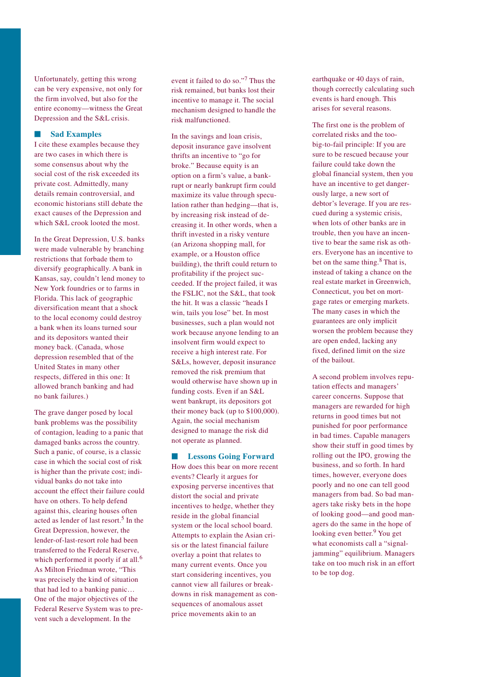Unfortunately, getting this wrong can be very expensive, not only for the firm involved, but also for the entire economy—witness the Great Depression and the S&L crisis.

### ■ **Sad Examples**

I cite these examples because they are two cases in which there is some consensus about why the social cost of the risk exceeded its private cost. Admittedly, many details remain controversial, and economic historians still debate the exact causes of the Depression and which S&L crook looted the most.

In the Great Depression, U.S. banks were made vulnerable by branching restrictions that forbade them to diversify geographically. A bank in Kansas, say, couldn't lend money to New York foundries or to farms in Florida. This lack of geographic diversification meant that a shock to the local economy could destroy a bank when its loans turned sour and its depositors wanted their money back. (Canada, whose depression resembled that of the United States in many other respects, differed in this one: It allowed branch banking and had no bank failures.)

The grave danger posed by local bank problems was the possibility of contagion, leading to a panic that damaged banks across the country. Such a panic, of course, is a classic case in which the social cost of risk is higher than the private cost; individual banks do not take into account the effect their failure could have on others. To help defend against this, clearing houses often acted as lender of last resort.<sup>5</sup> In the Great Depression, however, the lender-of-last-resort role had been transferred to the Federal Reserve, which performed it poorly if at all.<sup>6</sup> As Milton Friedman wrote, "This was precisely the kind of situation that had led to a banking panic… One of the major objectives of the Federal Reserve System was to prevent such a development. In the

event it failed to do so."<sup>7</sup> Thus the risk remained, but banks lost their incentive to manage it. The social mechanism designed to handle the risk malfunctioned.

In the savings and loan crisis, deposit insurance gave insolvent thrifts an incentive to "go for broke." Because equity is an option on a firm's value, a bankrupt or nearly bankrupt firm could maximize its value through speculation rather than hedging—that is, by increasing risk instead of decreasing it. In other words, when a thrift invested in a risky venture (an Arizona shopping mall, for example, or a Houston office building), the thrift could return to profitability if the project succeeded. If the project failed, it was the FSLIC, not the S&L, that took the hit. It was a classic "heads I win, tails you lose" bet. In most businesses, such a plan would not work because anyone lending to an insolvent firm would expect to receive a high interest rate. For S&Ls, however, deposit insurance removed the risk premium that would otherwise have shown up in funding costs. Even if an S&L went bankrupt, its depositors got their money back (up to \$100,000). Again, the social mechanism designed to manage the risk did not operate as planned.

■ **Lessons Going Forward** How does this bear on more recent events? Clearly it argues for exposing perverse incentives that distort the social and private incentives to hedge, whether they reside in the global financial system or the local school board. Attempts to explain the Asian crisis or the latest financial failure overlay a point that relates to many current events. Once you start considering incentives, you cannot view all failures or breakdowns in risk management as consequences of anomalous asset price movements akin to an

earthquake or 40 days of rain, though correctly calculating such events is hard enough. This arises for several reasons.

The first one is the problem of correlated risks and the toobig-to-fail principle: If you are sure to be rescued because your failure could take down the global financial system, then you have an incentive to get dangerously large, a new sort of debtor's leverage. If you are rescued during a systemic crisis, when lots of other banks are in trouble, then you have an incentive to bear the same risk as others. Everyone has an incentive to bet on the same thing.<sup>8</sup> That is, instead of taking a chance on the real estate market in Greenwich, Connecticut, you bet on mortgage rates or emerging markets. The many cases in which the guarantees are only implicit worsen the problem because they are open ended, lacking any fixed, defined limit on the size of the bailout.

A second problem involves reputation effects and managers' career concerns. Suppose that managers are rewarded for high returns in good times but not punished for poor performance in bad times. Capable managers show their stuff in good times by rolling out the IPO, growing the business, and so forth. In hard times, however, everyone does poorly and no one can tell good managers from bad. So bad managers take risky bets in the hope of looking good—and good managers do the same in the hope of looking even better.<sup>9</sup> You get what economists call a "signaljamming" equilibrium. Managers take on too much risk in an effort to be top dog.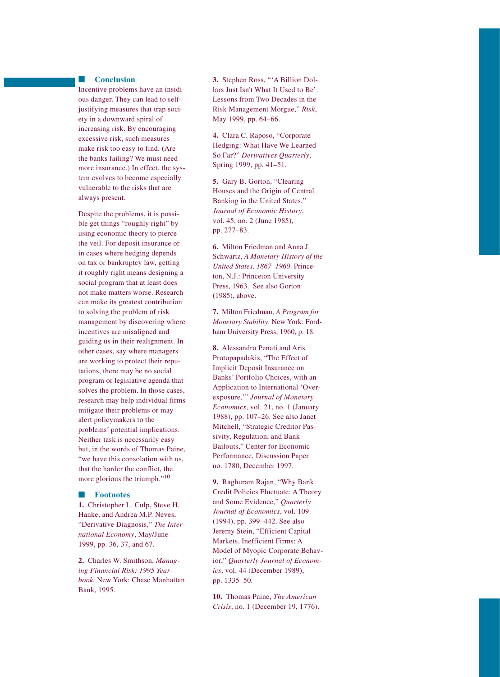## ■ **Conclusion**

Incentive problems have an insidious danger. They can lead to selfjustifying measures that trap society in a downward spiral of increasing risk. By encouraging excessive risk, such measures make risk too easy to find. (Are the banks failing? We must need more insurance.) In effect, the system evolves to become especially vulnerable to the risks that are always present.

Despite the problems, it is possible get things "roughly right" by using economic theory to pierce the veil. For deposit insurance or in cases where hedging depends on tax or bankruptcy law, getting it roughly right means designing a social program that at least does not make matters worse. Research can make its greatest contribution to solving the problem of risk management by discovering where incentives are misaligned and guiding us in their realignment. In other cases, say where managers are working to protect their reputations, there may be no social program or legislative agenda that solves the problem. In those cases, research may help individual firms mitigate their problems or may alert policymakers to the problems' potential implications. Neither task is necessarily easy but, in the words of Thomas Paine, "we have this consolation with us, that the harder the conflict, the more glorious the triumph."<sup>10</sup>

#### ■ **Footnotes**

**1.** Christopher L. Culp, Steve H. Hanke, and Andrea M.P. Neves, "Derivative Diagnosis," *The International Economy*, May/June 1999, pp. 36, 37, and 67.

**2.** Charles W. Smithson, *Managing Financial Risk: 1995 Yearbook.* New York: Chase Manhattan Bank, 1995.

**3.** Stephen Ross, "'A Billion Dollars Just Isn't What It Used to Be': Lessons from Two Decades in the Risk Management Morgue," *Risk*, May 1999, pp. 64–66.

**4.** Clara C. Raposo, "Corporate Hedging: What Have We Learned So Far?" *Derivatives Quarterly*, Spring 1999, pp. 41–51.

**5.** Gary B. Gorton, "Clearing Houses and the Origin of Central Banking in the United States," *Journal of Economic History*, vol. 45, no. 2 (June 1985), pp. 277–83.

**6.** Milton Friedman and Anna J. Schwartz, *A Monetary History of the United States, 1867–1960*. Princeton, N.J.: Princeton University Press, 1963. See also Gorton (1985), above.

**7.** Milton Friedman, *A Program for Monetary Stability*. New York: Fordham University Press, 1960, p. 18.

**8.** Alessandro Penati and Aris Protopapadakis, "The Effect of Implicit Deposit Insurance on Banks' Portfolio Choices, with an Application to International 'Overexposure,'" *Journal of Monetary Economics*, vol. 21, no. 1 (January 1988), pp. 107–26. See also Janet Mitchell, "Strategic Creditor Passivity, Regulation, and Bank Bailouts," Center for Economic Performance, Discussion Paper no. 1780, December 1997.

**9.** Raghuram Rajan, "Why Bank Credit Policies Fluctuate: A Theory and Some Evidence," *Quarterly Journal of Economics*, vol. 109 (1994), pp. 399–442. See also Jeremy Stein, "Efficient Capital Markets, Inefficient Firms: A Model of Myopic Corporate Behavior," *Quarterly Journal of Economics*, vol. 44 (December 1989), pp. 1335–50.

**10.** Thomas Paine, *The American Crisis*, no. 1 (December 19, 1776).